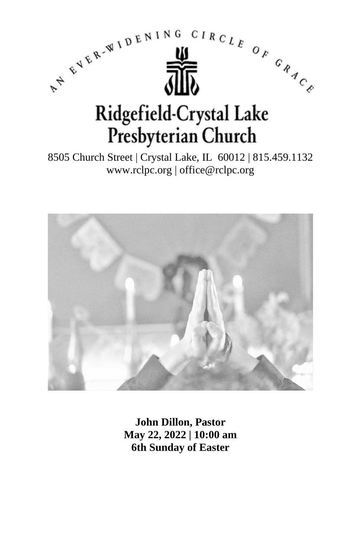

8505 Church Street | Crystal Lake, IL 60012 | 815.459.1132 www.rclpc.org | office@rclpc.org



**John Dillon, Pastor May 22, 2022 | 10:00 am 6th Sunday of Easter**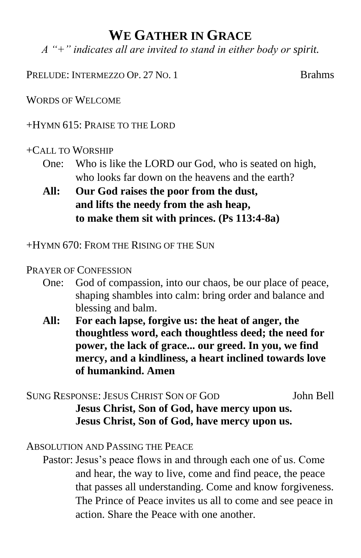## **WE GATHER IN GRACE**

*A "+" indicates all are invited to stand in either body or spirit.*

PRELUDE: INTERMEZZO OP. 27 NO. 1 Brahms

WORDS OF WELCOME

+HYMN 615: PRAISE TO THE LORD

#### +CALL TO WORSHIP

- One: Who is like the LORD our God, who is seated on high, who looks far down on the heavens and the earth?
- **All: Our God raises the poor from the dust, and lifts the needy from the ash heap, to make them sit with princes. (Ps 113:4-8a)**

### +HYMN 670: FROM THE RISING OF THE SUN

### PRAYER OF CONFESSION

- One: God of compassion, into our chaos, be our place of peace, shaping shambles into calm: bring order and balance and blessing and balm.
- **All: For each lapse, forgive us: the heat of anger, the thoughtless word, each thoughtless deed; the need for power, the lack of grace... our greed. In you, we find mercy, and a kindliness, a heart inclined towards love of humankind. Amen**

SUNG RESPONSE: JESUS CHRIST SON OF GOD John Bell **Jesus Christ, Son of God, have mercy upon us. Jesus Christ, Son of God, have mercy upon us.**

#### ABSOLUTION AND PASSING THE PEACE

Pastor: Jesus's peace flows in and through each one of us. Come and hear, the way to live, come and find peace, the peace that passes all understanding. Come and know forgiveness. The Prince of Peace invites us all to come and see peace in action. Share the Peace with one another.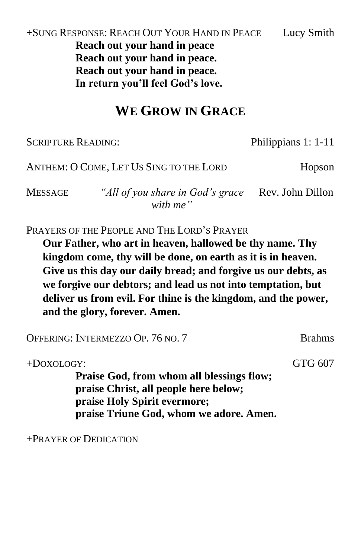+SUNG RESPONSE: REACH OUT YOUR HAND IN PEACE Lucy Smith **Reach out your hand in peace Reach out your hand in peace. Reach out your hand in peace. In return you'll feel God's love.**

## **WE GROW IN GRACE**

SCRIPTURE READING: Philippians 1: 1-11 ANTHEM: O COME, LET US SING TO THE LORD Hopson MESSAGE *"All of you share in God's grace*  Rev. John Dillon *with me"* PRAYERS OF THE PEOPLE AND THE LORD'S PRAYER **Our Father, who art in heaven, hallowed be thy name. Thy kingdom come, thy will be done, on earth as it is in heaven.** 

**Give us this day our daily bread; and forgive us our debts, as we forgive our debtors; and lead us not into temptation, but deliver us from evil. For thine is the kingdom, and the power, and the glory, forever. Amen.**

OFFERING: INTERMEZZO OP. 76 NO. 7 Brahms +DOXOLOGY: GTG 607 **Praise God, from whom all blessings flow; praise Christ, all people here below; praise Holy Spirit evermore; praise Triune God, whom we adore. Amen.**

+PRAYER OF DEDICATION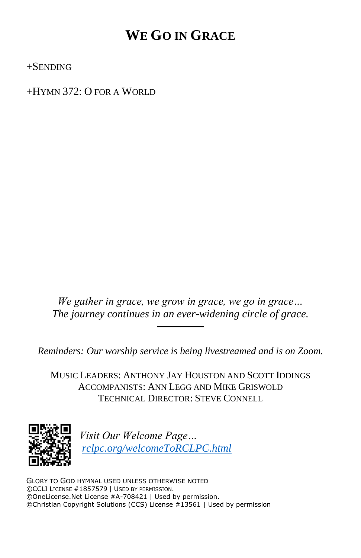## **WE GO IN GRACE**

+SENDING

+HYMN 372: O FOR A WORLD

*We gather in grace, we grow in grace, we go in grace… The journey continues in an ever-widening circle of grace.*

──────

*Reminders: Our worship service is being livestreamed and is on Zoom.*

MUSIC LEADERS: ANTHONY JAY HOUSTON AND SCOTT IDDINGS ACCOMPANISTS: ANN LEGG AND MIKE GRISWOLD TECHNICAL DIRECTOR: STEVE CONNELL



*Visit Our Welcome Page… [rclpc.org/welcomeToRCLPC.html](http://rclpc.org/welcomeToRCLPC.html)*

GLORY TO GOD HYMNAL USED UNLESS OTHERWISE NOTED ©CCLI LICENSE #1857579 | USED BY PERMISSION. ©OneLicense.Net License #A-708421 | Used by permission. ©Christian Copyright Solutions (CCS) License #13561 | Used by permission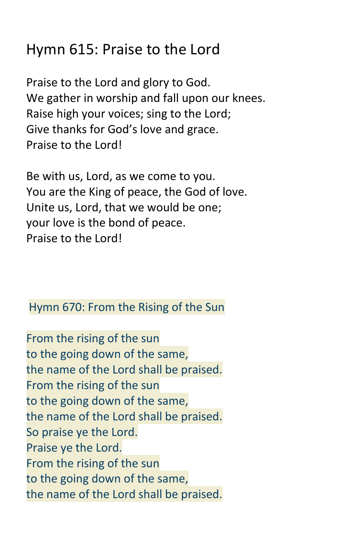# Hymn 615: Praise to the Lord

Praise to the Lord and glory to God. We gather in worship and fall upon our knees. Raise high your voices; sing to the Lord; Give thanks for God's love and grace. Praise to the Lord!

Be with us, Lord, as we come to you. You are the King of peace, the God of love. Unite us, Lord, that we would be one; your love is the bond of peace. Praise to the Lord!

## Hymn 670: From the Rising of the Sun

From the rising of the sun to the going down of the same, the name of the Lord shall be praised. From the rising of the sun to the going down of the same, the name of the Lord shall be praised. So praise ye the Lord. Praise ye the Lord. From the rising of the sun to the going down of the same, the name of the Lord shall be praised.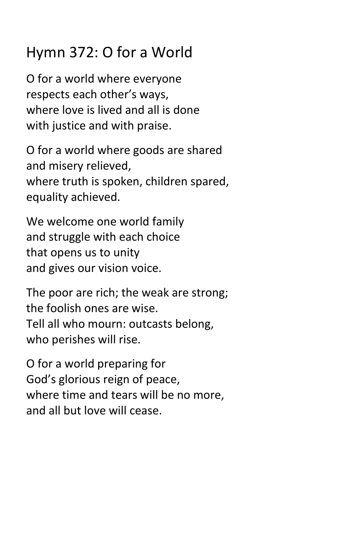# Hymn 372: O for a World

O for a world where everyone respects each other's ways, where love is lived and all is done with justice and with praise.

O for a world where goods are shared and misery relieved, where truth is spoken, children spared, equality achieved.

We welcome one world family and struggle with each choice that opens us to unity and gives our vision voice.

The poor are rich; the weak are strong; the foolish ones are wise. Tell all who mourn: outcasts belong, who perishes will rise.

O for a world preparing for God's glorious reign of peace, where time and tears will be no more, and all but love will cease.